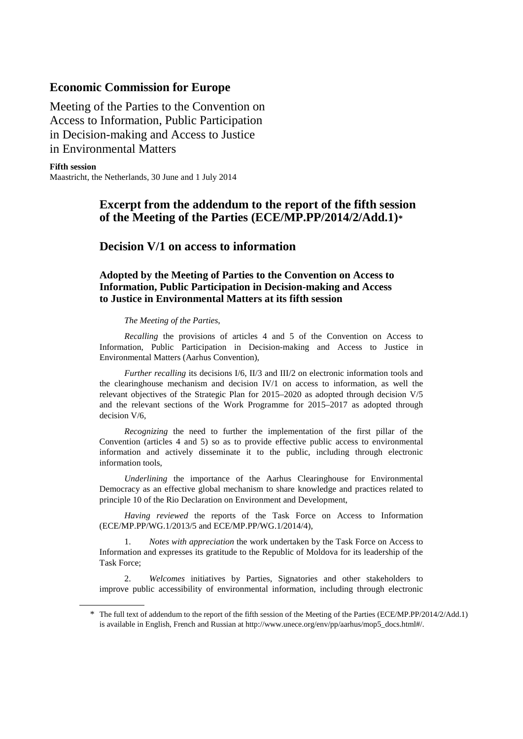### **Economic Commission for Europe**

Meeting of the Parties to the Convention on Access to Information, Public Participation in Decision-making and Access to Justice in Environmental Matters

**Fifth session** Maastricht, the Netherlands, 30 June and 1 July 2014

## **Excerpt from the addendum to the report of the fifth session of the Meeting of the Parties (ECE/MP.PP/2014/2/Add.1)[\\*](#page-0-0)**

# **Decision V/1 on access to information**

## **Adopted by the Meeting of Parties to the Convention on Access to Information, Public Participation in Decision-making and Access to Justice in Environmental Matters at its fifth session**

#### *The Meeting of the Parties*,

*Recalling* the provisions of articles 4 and 5 of the Convention on Access to Information, Public Participation in Decision-making and Access to Justice in Environmental Matters (Aarhus Convention),

*Further recalling* its decisions I/6, II/3 and III/2 on electronic information tools and the clearinghouse mechanism and decision IV/1 on access to information, as well the relevant objectives of the Strategic Plan for 2015–2020 as adopted through decision V/5 and the relevant sections of the Work Programme for 2015–2017 as adopted through decision V/6,

*Recognizing* the need to further the implementation of the first pillar of the Convention (articles 4 and 5) so as to provide effective public access to environmental information and actively disseminate it to the public, including through electronic information tools,

*Underlining* the importance of the Aarhus Clearinghouse for Environmental Democracy as an effective global mechanism to share knowledge and practices related to principle 10 of the Rio Declaration on Environment and Development,

*Having reviewed* the reports of the Task Force on Access to Information (ECE/MP.PP/WG.1/2013/5 and ECE/MP.PP/WG.1/2014/4),

1. *Notes with appreciation* the work undertaken by the Task Force on Access to Information and expresses its gratitude to the Republic of Moldova for its leadership of the Task Force;

2. *Welcomes* initiatives by Parties, Signatories and other stakeholders to improve public accessibility of environmental information, including through electronic

<span id="page-0-0"></span><sup>\*</sup> The full text of addendum to the report of the fifth session of the Meeting of the Parties (ECE/MP.PP/2014/2/Add.1) is available in English, French and Russian at http://www.unece.org/env/pp/aarhus/mop5\_docs.html#/.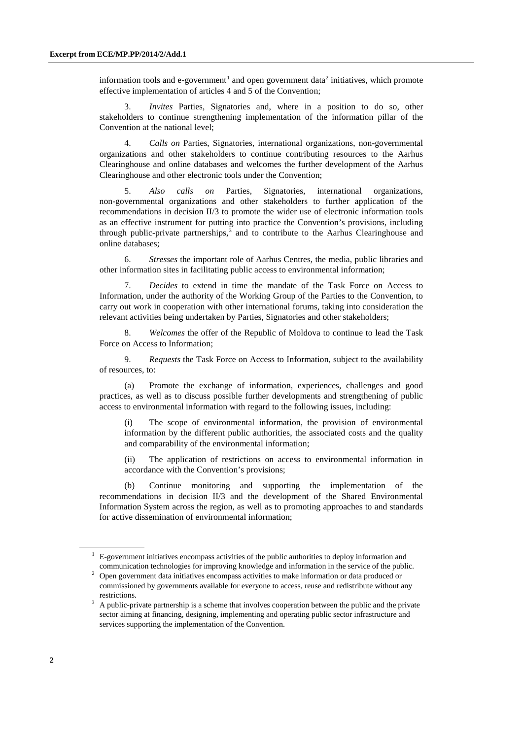information tools and e-government<sup>[1](#page-1-0)</sup> and open government data<sup>[2](#page-1-1)</sup> initiatives, which promote effective implementation of articles 4 and 5 of the Convention;

3. *Invites* Parties, Signatories and, where in a position to do so, other stakeholders to continue strengthening implementation of the information pillar of the Convention at the national level;

4. *Calls on* Parties, Signatories, international organizations, non-governmental organizations and other stakeholders to continue contributing resources to the Aarhus Clearinghouse and online databases and welcomes the further development of the Aarhus Clearinghouse and other electronic tools under the Convention;

5. *Also calls on* Parties, Signatories, international organizations, non-governmental organizations and other stakeholders to further application of the recommendations in decision II/3 to promote the wider use of electronic information tools as an effective instrument for putting into practice the Convention's provisions, including through public-private partnerships, $3$  and to contribute to the Aarhus Clearinghouse and online databases;

6. *Stresses* the important role of Aarhus Centres, the media, public libraries and other information sites in facilitating public access to environmental information;

7. *Decides* to extend in time the mandate of the Task Force on Access to Information, under the authority of the Working Group of the Parties to the Convention, to carry out work in cooperation with other international forums, taking into consideration the relevant activities being undertaken by Parties, Signatories and other stakeholders;

8. *Welcomes* the offer of the Republic of Moldova to continue to lead the Task Force on Access to Information;

9. *Requests* the Task Force on Access to Information, subject to the availability of resources, to:

(a) Promote the exchange of information, experiences, challenges and good practices, as well as to discuss possible further developments and strengthening of public access to environmental information with regard to the following issues, including:

(i) The scope of environmental information, the provision of environmental information by the different public authorities, the associated costs and the quality and comparability of the environmental information;

(ii) The application of restrictions on access to environmental information in accordance with the Convention's provisions;

(b) Continue monitoring and supporting the implementation of the recommendations in decision II/3 and the development of the Shared Environmental Information System across the region, as well as to promoting approaches to and standards for active dissemination of environmental information;

<span id="page-1-0"></span> $1\text{ E-government initiatives encompass activities of the public authorities to deploy information and}$ communication technologies for improving knowledge and information in the service of the public.

<span id="page-1-1"></span><sup>&</sup>lt;sup>2</sup> Open government data initiatives encompass activities to make information or data produced or commissioned by governments available for everyone to access, reuse and redistribute without any restrictions.

<span id="page-1-2"></span><sup>&</sup>lt;sup>3</sup> A public-private partnership is a scheme that involves cooperation between the public and the private sector aiming at financing, designing, implementing and operating public sector infrastructure and services supporting the implementation of the Convention.